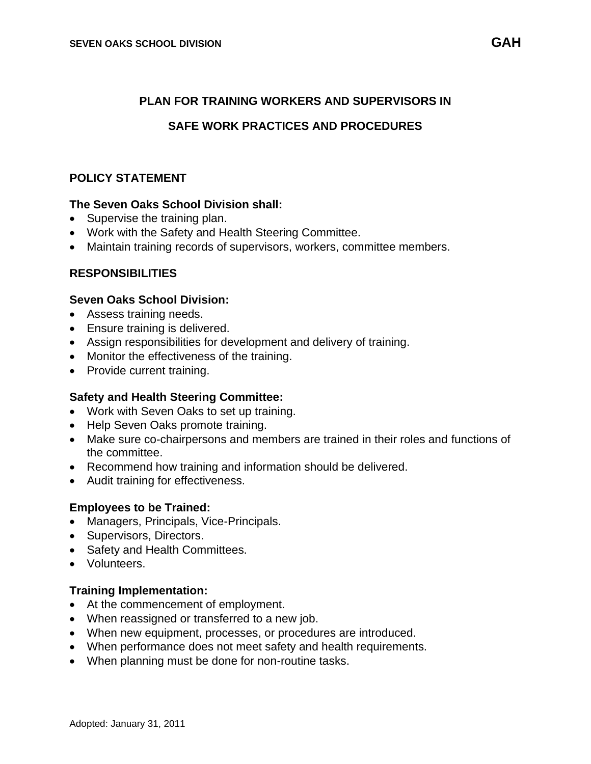### **PLAN FOR TRAINING WORKERS AND SUPERVISORS IN**

### **SAFE WORK PRACTICES AND PROCEDURES**

### **POLICY STATEMENT**

#### **The Seven Oaks School Division shall:**

- Supervise the training plan.
- Work with the Safety and Health Steering Committee.
- Maintain training records of supervisors, workers, committee members.

### **RESPONSIBILITIES**

#### **Seven Oaks School Division:**

- Assess training needs.
- Ensure training is delivered.
- Assign responsibilities for development and delivery of training.
- Monitor the effectiveness of the training.
- Provide current training.

### **Safety and Health Steering Committee:**

- Work with Seven Oaks to set up training.
- Help Seven Oaks promote training.
- Make sure co-chairpersons and members are trained in their roles and functions of the committee.
- Recommend how training and information should be delivered.
- Audit training for effectiveness.

### **Employees to be Trained:**

- Managers, Principals, Vice-Principals.
- Supervisors, Directors.
- Safety and Health Committees.
- Volunteers.

#### **Training Implementation:**

- At the commencement of employment.
- When reassigned or transferred to a new job.
- When new equipment, processes, or procedures are introduced.
- When performance does not meet safety and health requirements.
- When planning must be done for non-routine tasks.